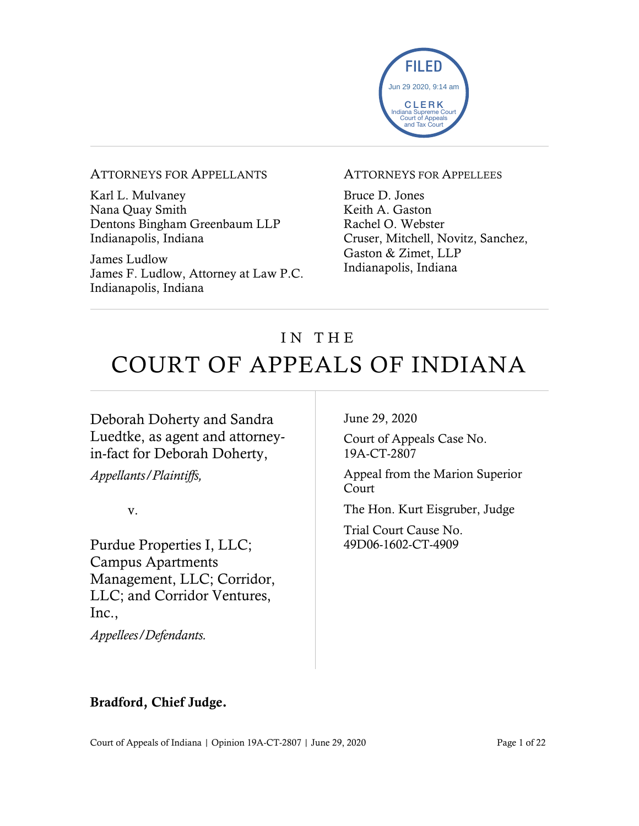

#### ATTORNEYS FOR APPELLANTS

Karl L. Mulvaney Nana Quay Smith Dentons Bingham Greenbaum LLP Indianapolis, Indiana

James Ludlow James F. Ludlow, Attorney at Law P.C. Indianapolis, Indiana

#### ATTORNEYS FOR APPELLEES

Bruce D. Jones Keith A. Gaston Rachel O. Webster Cruser, Mitchell, Novitz, Sanchez, Gaston & Zimet, LLP Indianapolis, Indiana

# IN THE COURT OF APPEALS OF INDIANA

Deborah Doherty and Sandra Luedtke, as agent and attorneyin-fact for Deborah Doherty,

*Appellants/Plaintiffs,*

v.

Purdue Properties I, LLC; Campus Apartments Management, LLC; Corridor, LLC; and Corridor Ventures, Inc.,

*Appellees/Defendants.*

June 29, 2020

Court of Appeals Case No. 19A-CT-2807

Appeal from the Marion Superior Court

The Hon. Kurt Eisgruber, Judge

Trial Court Cause No. 49D06-1602-CT-4909

#### Bradford, Chief Judge.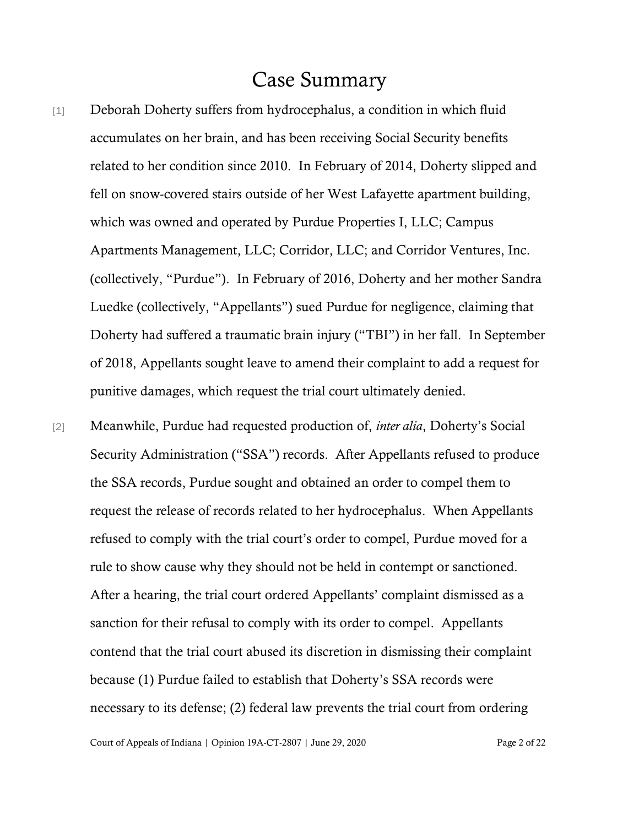### Case Summary

- [1] Deborah Doherty suffers from hydrocephalus, a condition in which fluid accumulates on her brain, and has been receiving Social Security benefits related to her condition since 2010. In February of 2014, Doherty slipped and fell on snow-covered stairs outside of her West Lafayette apartment building, which was owned and operated by Purdue Properties I, LLC; Campus Apartments Management, LLC; Corridor, LLC; and Corridor Ventures, Inc. (collectively, "Purdue"). In February of 2016, Doherty and her mother Sandra Luedke (collectively, "Appellants") sued Purdue for negligence, claiming that Doherty had suffered a traumatic brain injury ("TBI") in her fall. In September of 2018, Appellants sought leave to amend their complaint to add a request for punitive damages, which request the trial court ultimately denied.
- [2] Meanwhile, Purdue had requested production of, *inter alia*, Doherty's Social Security Administration ("SSA") records. After Appellants refused to produce the SSA records, Purdue sought and obtained an order to compel them to request the release of records related to her hydrocephalus. When Appellants refused to comply with the trial court's order to compel, Purdue moved for a rule to show cause why they should not be held in contempt or sanctioned. After a hearing, the trial court ordered Appellants' complaint dismissed as a sanction for their refusal to comply with its order to compel. Appellants contend that the trial court abused its discretion in dismissing their complaint because (1) Purdue failed to establish that Doherty's SSA records were necessary to its defense; (2) federal law prevents the trial court from ordering

Court of Appeals of Indiana | Opinion 19A-CT-2807 | June 29, 2020 Page 2 of 22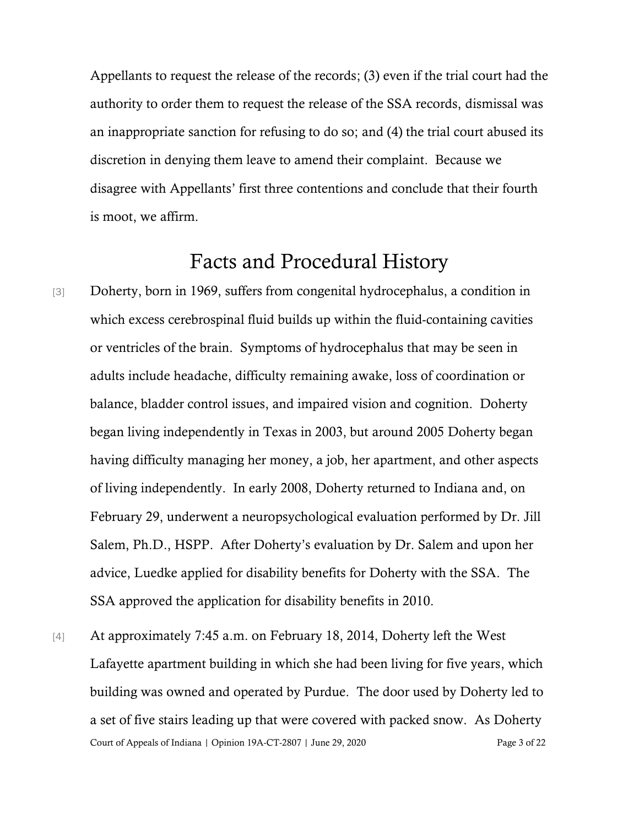Appellants to request the release of the records; (3) even if the trial court had the authority to order them to request the release of the SSA records, dismissal was an inappropriate sanction for refusing to do so; and (4) the trial court abused its discretion in denying them leave to amend their complaint. Because we disagree with Appellants' first three contentions and conclude that their fourth is moot, we affirm.

## Facts and Procedural History

- [3] Doherty, born in 1969, suffers from congenital hydrocephalus, a condition in which excess cerebrospinal fluid builds up within the fluid-containing cavities or ventricles of the brain. Symptoms of hydrocephalus that may be seen in adults include headache, difficulty remaining awake, loss of coordination or balance, bladder control issues, and impaired vision and cognition. Doherty began living independently in Texas in 2003, but around 2005 Doherty began having difficulty managing her money, a job, her apartment, and other aspects of living independently. In early 2008, Doherty returned to Indiana and, on February 29, underwent a neuropsychological evaluation performed by Dr. Jill Salem, Ph.D., HSPP. After Doherty's evaluation by Dr. Salem and upon her advice, Luedke applied for disability benefits for Doherty with the SSA. The SSA approved the application for disability benefits in 2010.
- Court of Appeals of Indiana | Opinion 19A-CT-2807 | June 29, 2020 Page 3 of 22 [4] At approximately 7:45 a.m. on February 18, 2014, Doherty left the West Lafayette apartment building in which she had been living for five years, which building was owned and operated by Purdue. The door used by Doherty led to a set of five stairs leading up that were covered with packed snow. As Doherty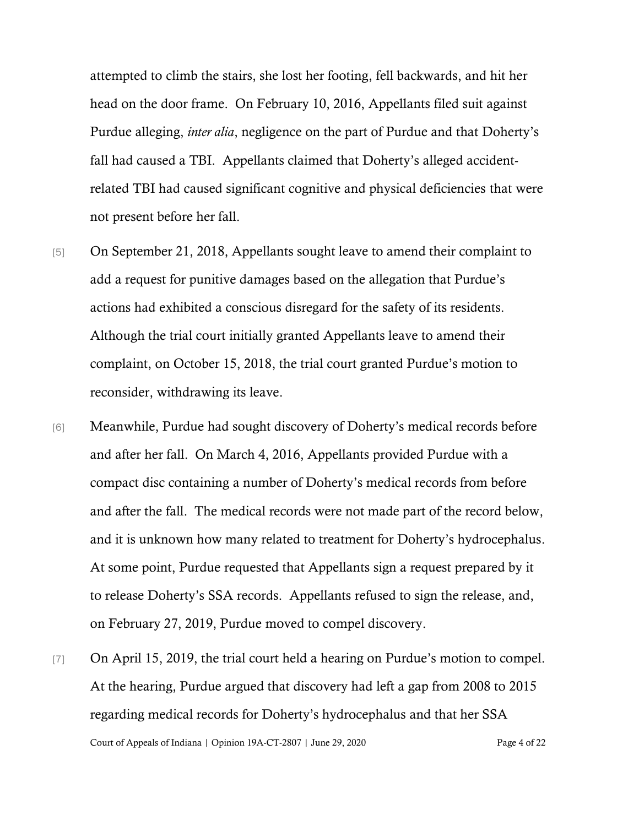attempted to climb the stairs, she lost her footing, fell backwards, and hit her head on the door frame. On February 10, 2016, Appellants filed suit against Purdue alleging, *inter alia*, negligence on the part of Purdue and that Doherty's fall had caused a TBI. Appellants claimed that Doherty's alleged accidentrelated TBI had caused significant cognitive and physical deficiencies that were not present before her fall.

- [5] On September 21, 2018, Appellants sought leave to amend their complaint to add a request for punitive damages based on the allegation that Purdue's actions had exhibited a conscious disregard for the safety of its residents. Although the trial court initially granted Appellants leave to amend their complaint, on October 15, 2018, the trial court granted Purdue's motion to reconsider, withdrawing its leave.
- [6] Meanwhile, Purdue had sought discovery of Doherty's medical records before and after her fall. On March 4, 2016, Appellants provided Purdue with a compact disc containing a number of Doherty's medical records from before and after the fall. The medical records were not made part of the record below, and it is unknown how many related to treatment for Doherty's hydrocephalus. At some point, Purdue requested that Appellants sign a request prepared by it to release Doherty's SSA records. Appellants refused to sign the release, and, on February 27, 2019, Purdue moved to compel discovery.
- Court of Appeals of Indiana | Opinion 19A-CT-2807 | June 29, 2020 Page 4 of 22 [7] On April 15, 2019, the trial court held a hearing on Purdue's motion to compel. At the hearing, Purdue argued that discovery had left a gap from 2008 to 2015 regarding medical records for Doherty's hydrocephalus and that her SSA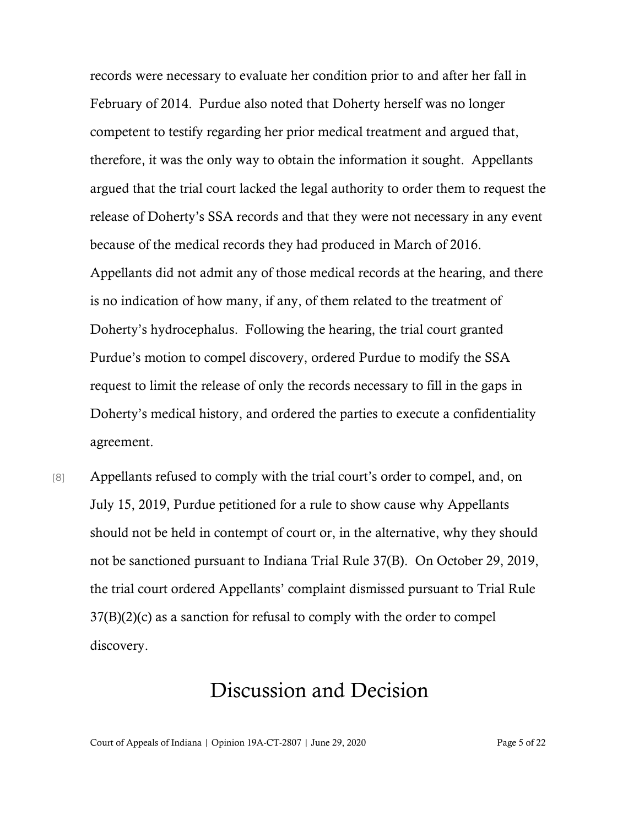records were necessary to evaluate her condition prior to and after her fall in February of 2014. Purdue also noted that Doherty herself was no longer competent to testify regarding her prior medical treatment and argued that, therefore, it was the only way to obtain the information it sought. Appellants argued that the trial court lacked the legal authority to order them to request the release of Doherty's SSA records and that they were not necessary in any event because of the medical records they had produced in March of 2016. Appellants did not admit any of those medical records at the hearing, and there is no indication of how many, if any, of them related to the treatment of Doherty's hydrocephalus. Following the hearing, the trial court granted Purdue's motion to compel discovery, ordered Purdue to modify the SSA request to limit the release of only the records necessary to fill in the gaps in Doherty's medical history, and ordered the parties to execute a confidentiality agreement.

[8] Appellants refused to comply with the trial court's order to compel, and, on July 15, 2019, Purdue petitioned for a rule to show cause why Appellants should not be held in contempt of court or, in the alternative, why they should not be sanctioned pursuant to Indiana Trial Rule 37(B). On October 29, 2019, the trial court ordered Appellants' complaint dismissed pursuant to Trial Rule 37(B)(2)(c) as a sanction for refusal to comply with the order to compel discovery.

### Discussion and Decision

Court of Appeals of Indiana | Opinion 19A-CT-2807 | June 29, 2020 Page 5 of 22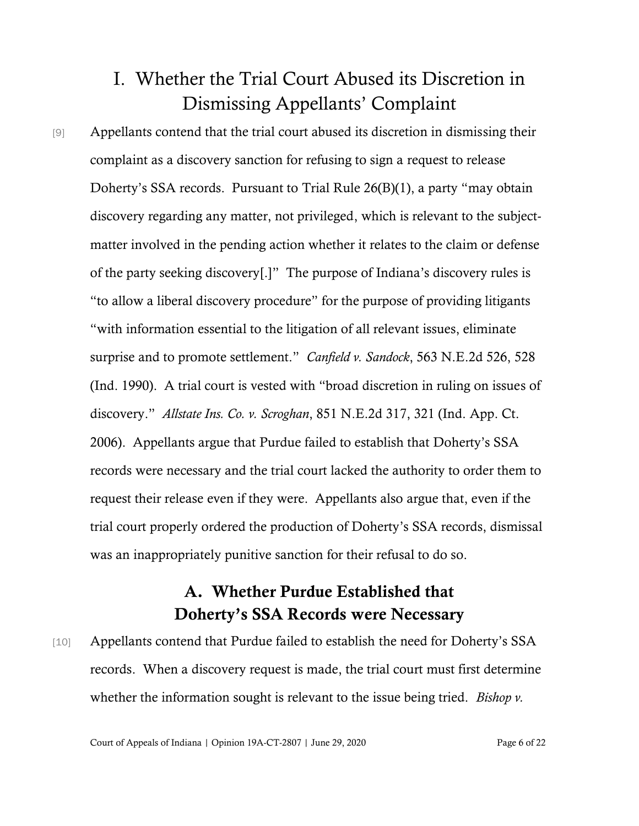# I. Whether the Trial Court Abused its Discretion in Dismissing Appellants' Complaint

[9] Appellants contend that the trial court abused its discretion in dismissing their complaint as a discovery sanction for refusing to sign a request to release Doherty's SSA records. Pursuant to Trial Rule 26(B)(1), a party "may obtain discovery regarding any matter, not privileged, which is relevant to the subjectmatter involved in the pending action whether it relates to the claim or defense of the party seeking discovery[.]" The purpose of Indiana's discovery rules is "to allow a liberal discovery procedure" for the purpose of providing litigants "with information essential to the litigation of all relevant issues, eliminate surprise and to promote settlement." *Canfield v. Sandock*, 563 N.E.2d 526, 528 (Ind. 1990). A trial court is vested with "broad discretion in ruling on issues of discovery." *Allstate Ins. Co. v. Scroghan*, 851 N.E.2d 317, 321 (Ind. App. Ct. 2006). Appellants argue that Purdue failed to establish that Doherty's SSA records were necessary and the trial court lacked the authority to order them to request their release even if they were. Appellants also argue that, even if the trial court properly ordered the production of Doherty's SSA records, dismissal was an inappropriately punitive sanction for their refusal to do so.

### A. Whether Purdue Established that Doherty's SSA Records were Necessary

[10] Appellants contend that Purdue failed to establish the need for Doherty's SSA records. When a discovery request is made, the trial court must first determine whether the information sought is relevant to the issue being tried. *Bishop v.*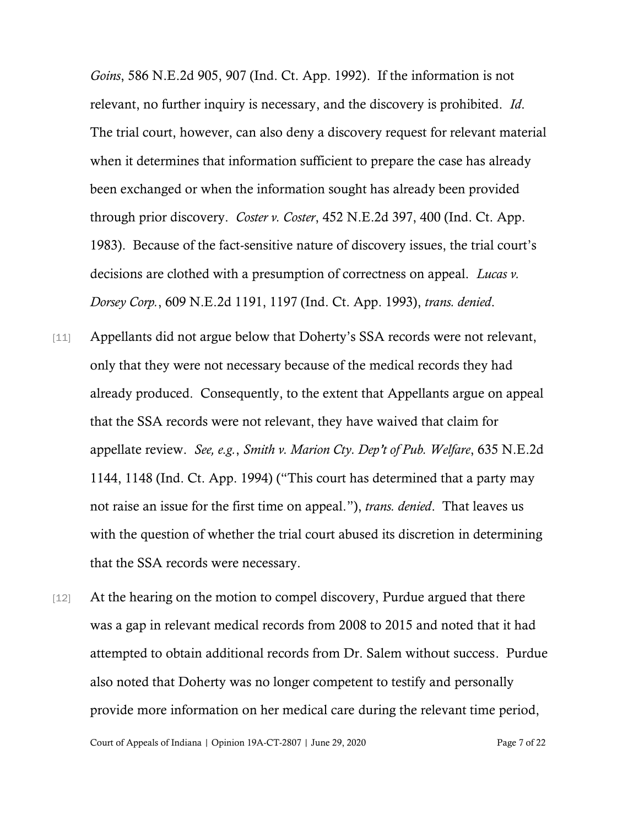*Goins*, 586 N.E.2d 905, 907 (Ind. Ct. App. 1992). If the information is not relevant, no further inquiry is necessary, and the discovery is prohibited. *Id*. The trial court, however, can also deny a discovery request for relevant material when it determines that information sufficient to prepare the case has already been exchanged or when the information sought has already been provided through prior discovery. *Coster v. Coster*, 452 N.E.2d 397, 400 (Ind. Ct. App. 1983). Because of the fact-sensitive nature of discovery issues, the trial court's decisions are clothed with a presumption of correctness on appeal. *Lucas v. Dorsey Corp.*, 609 N.E.2d 1191, 1197 (Ind. Ct. App. 1993), *trans. denied*.

- [11] Appellants did not argue below that Doherty's SSA records were not relevant, only that they were not necessary because of the medical records they had already produced. Consequently, to the extent that Appellants argue on appeal that the SSA records were not relevant, they have waived that claim for appellate review. *See, e.g.*, *Smith v. Marion Cty. Dep't of Pub. Welfare*, 635 N.E.2d 1144, 1148 (Ind. Ct. App. 1994) ("This court has determined that a party may not raise an issue for the first time on appeal."), *trans. denied*. That leaves us with the question of whether the trial court abused its discretion in determining that the SSA records were necessary.
- [12] At the hearing on the motion to compel discovery, Purdue argued that there was a gap in relevant medical records from 2008 to 2015 and noted that it had attempted to obtain additional records from Dr. Salem without success. Purdue also noted that Doherty was no longer competent to testify and personally provide more information on her medical care during the relevant time period,

Court of Appeals of Indiana | Opinion 19A-CT-2807 | June 29, 2020 Page 7 of 22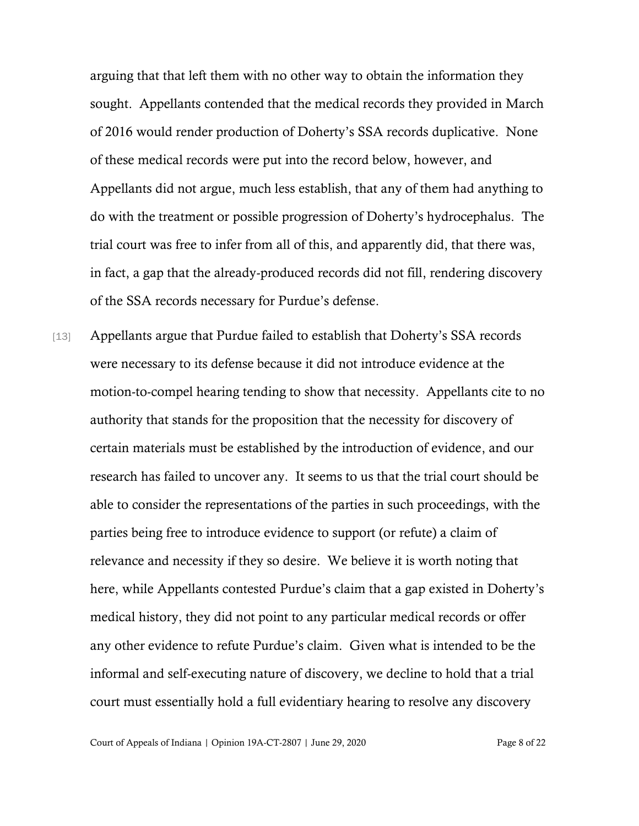arguing that that left them with no other way to obtain the information they sought. Appellants contended that the medical records they provided in March of 2016 would render production of Doherty's SSA records duplicative. None of these medical records were put into the record below, however, and Appellants did not argue, much less establish, that any of them had anything to do with the treatment or possible progression of Doherty's hydrocephalus. The trial court was free to infer from all of this, and apparently did, that there was, in fact, a gap that the already-produced records did not fill, rendering discovery of the SSA records necessary for Purdue's defense.

[13] Appellants argue that Purdue failed to establish that Doherty's SSA records were necessary to its defense because it did not introduce evidence at the motion-to-compel hearing tending to show that necessity. Appellants cite to no authority that stands for the proposition that the necessity for discovery of certain materials must be established by the introduction of evidence, and our research has failed to uncover any. It seems to us that the trial court should be able to consider the representations of the parties in such proceedings, with the parties being free to introduce evidence to support (or refute) a claim of relevance and necessity if they so desire. We believe it is worth noting that here, while Appellants contested Purdue's claim that a gap existed in Doherty's medical history, they did not point to any particular medical records or offer any other evidence to refute Purdue's claim. Given what is intended to be the informal and self-executing nature of discovery, we decline to hold that a trial court must essentially hold a full evidentiary hearing to resolve any discovery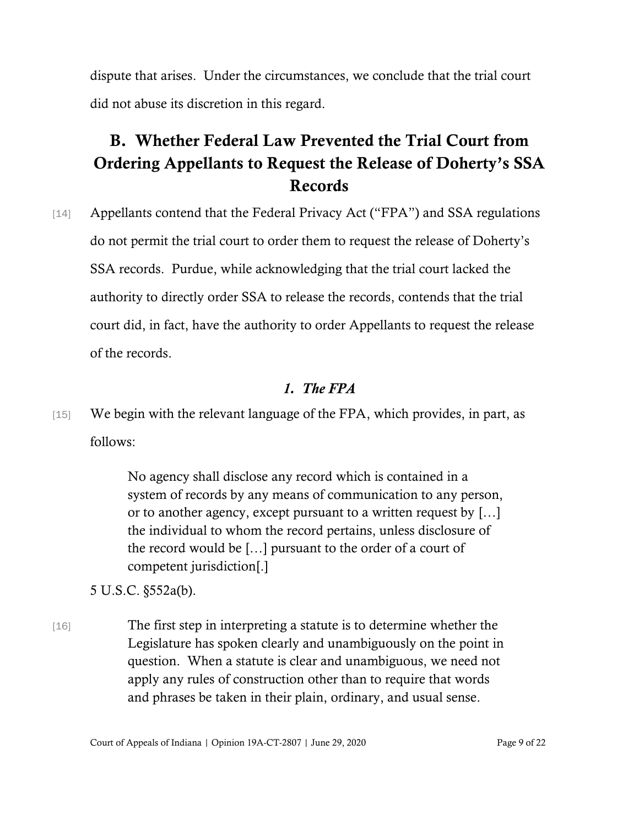dispute that arises. Under the circumstances, we conclude that the trial court did not abuse its discretion in this regard.

## B. Whether Federal Law Prevented the Trial Court from Ordering Appellants to Request the Release of Doherty's SSA Records

[14] Appellants contend that the Federal Privacy Act ("FPA") and SSA regulations do not permit the trial court to order them to request the release of Doherty's SSA records. Purdue, while acknowledging that the trial court lacked the authority to directly order SSA to release the records, contends that the trial court did, in fact, have the authority to order Appellants to request the release of the records.

#### *1. The FPA*

[15] We begin with the relevant language of the FPA, which provides, in part, as follows:

> No agency shall disclose any record which is contained in a system of records by any means of communication to any person, or to another agency, except pursuant to a written request by […] the individual to whom the record pertains, unless disclosure of the record would be […] pursuant to the order of a court of competent jurisdiction[.]

5 U.S.C. §552a(b).

[16] The first step in interpreting a statute is to determine whether the Legislature has spoken clearly and unambiguously on the point in question. When a statute is clear and unambiguous, we need not apply any rules of construction other than to require that words and phrases be taken in their plain, ordinary, and usual sense.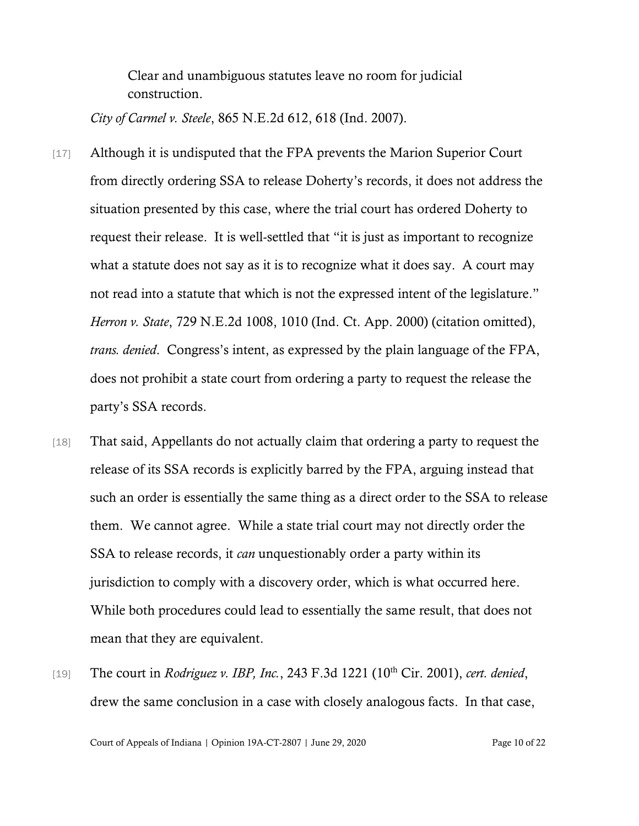Clear and unambiguous statutes leave no room for judicial construction.

*City of Carmel v. Steele*, 865 N.E.2d 612, 618 (Ind. 2007).

- [17] Although it is undisputed that the FPA prevents the Marion Superior Court from directly ordering SSA to release Doherty's records, it does not address the situation presented by this case, where the trial court has ordered Doherty to request their release. It is well-settled that "it is just as important to recognize what a statute does not say as it is to recognize what it does say. A court may not read into a statute that which is not the expressed intent of the legislature." *Herron v. State*, 729 N.E.2d 1008, 1010 (Ind. Ct. App. 2000) (citation omitted), *trans. denied*. Congress's intent, as expressed by the plain language of the FPA, does not prohibit a state court from ordering a party to request the release the party's SSA records.
- [18] That said, Appellants do not actually claim that ordering a party to request the release of its SSA records is explicitly barred by the FPA, arguing instead that such an order is essentially the same thing as a direct order to the SSA to release them. We cannot agree. While a state trial court may not directly order the SSA to release records, it *can* unquestionably order a party within its jurisdiction to comply with a discovery order, which is what occurred here. While both procedures could lead to essentially the same result, that does not mean that they are equivalent.
- [19] The court in *Rodriguez v. IBP, Inc.*, 243 F.3d 1221 (10<sup>th</sup> Cir. 2001), *cert. denied*, drew the same conclusion in a case with closely analogous facts. In that case,

Court of Appeals of Indiana | Opinion 19A-CT-2807 | June 29, 2020 Page 10 of 22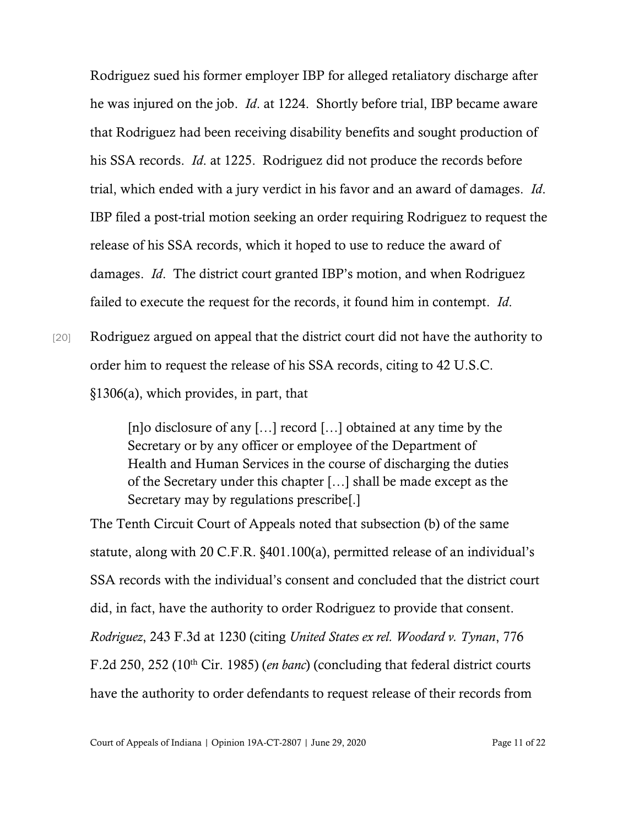Rodriguez sued his former employer IBP for alleged retaliatory discharge after he was injured on the job. *Id*. at 1224. Shortly before trial, IBP became aware that Rodriguez had been receiving disability benefits and sought production of his SSA records. *Id*. at 1225. Rodriguez did not produce the records before trial, which ended with a jury verdict in his favor and an award of damages. *Id*. IBP filed a post-trial motion seeking an order requiring Rodriguez to request the release of his SSA records, which it hoped to use to reduce the award of damages. *Id*. The district court granted IBP's motion, and when Rodriguez failed to execute the request for the records, it found him in contempt. *Id*.

[20] Rodriguez argued on appeal that the district court did not have the authority to order him to request the release of his SSA records, citing to 42 U.S.C. §1306(a), which provides, in part, that

[n]o disclosure of any [...] record [...] obtained at any time by the Secretary or by any officer or employee of the Department of Health and Human Services in the course of discharging the duties of the Secretary under this chapter […] shall be made except as the Secretary may by regulations prescribe[.]

The Tenth Circuit Court of Appeals noted that subsection (b) of the same statute, along with 20 C.F.R. §401.100(a), permitted release of an individual's SSA records with the individual's consent and concluded that the district court did, in fact, have the authority to order Rodriguez to provide that consent. *Rodriguez*, 243 F.3d at 1230 (citing *United States ex rel. Woodard v. Tynan*, 776 F.2d 250, 252 (10th Cir. 1985) (*en banc*) (concluding that federal district courts have the authority to order defendants to request release of their records from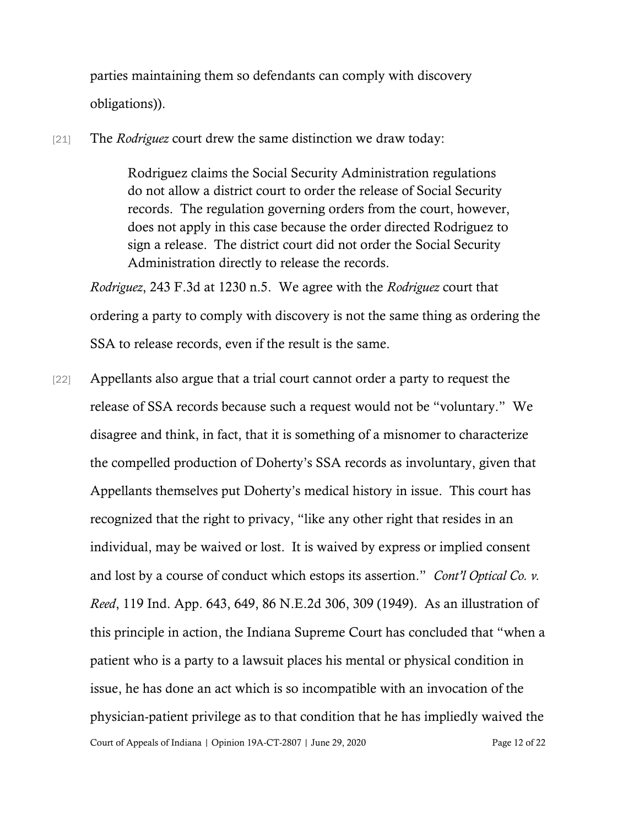parties maintaining them so defendants can comply with discovery obligations)).

[21] The *Rodriguez* court drew the same distinction we draw today:

Rodriguez claims the Social Security Administration regulations do not allow a district court to order the release of Social Security records. The regulation governing orders from the court, however, does not apply in this case because the order directed Rodriguez to sign a release. The district court did not order the Social Security Administration directly to release the records.

*Rodriguez*, 243 F.3d at 1230 n.5. We agree with the *Rodriguez* court that ordering a party to comply with discovery is not the same thing as ordering the SSA to release records, even if the result is the same.

Court of Appeals of Indiana | Opinion 19A-CT-2807 | June 29, 2020 Page 12 of 22 [22] Appellants also argue that a trial court cannot order a party to request the release of SSA records because such a request would not be "voluntary." We disagree and think, in fact, that it is something of a misnomer to characterize the compelled production of Doherty's SSA records as involuntary, given that Appellants themselves put Doherty's medical history in issue. This court has recognized that the right to privacy, "like any other right that resides in an individual, may be waived or lost. It is waived by express or implied consent and lost by a course of conduct which estops its assertion." *Cont'l Optical Co. v. Reed*, 119 Ind. App. 643, 649, 86 N.E.2d 306, 309 (1949). As an illustration of this principle in action, the Indiana Supreme Court has concluded that "when a patient who is a party to a lawsuit places his mental or physical condition in issue, he has done an act which is so incompatible with an invocation of the physician-patient privilege as to that condition that he has impliedly waived the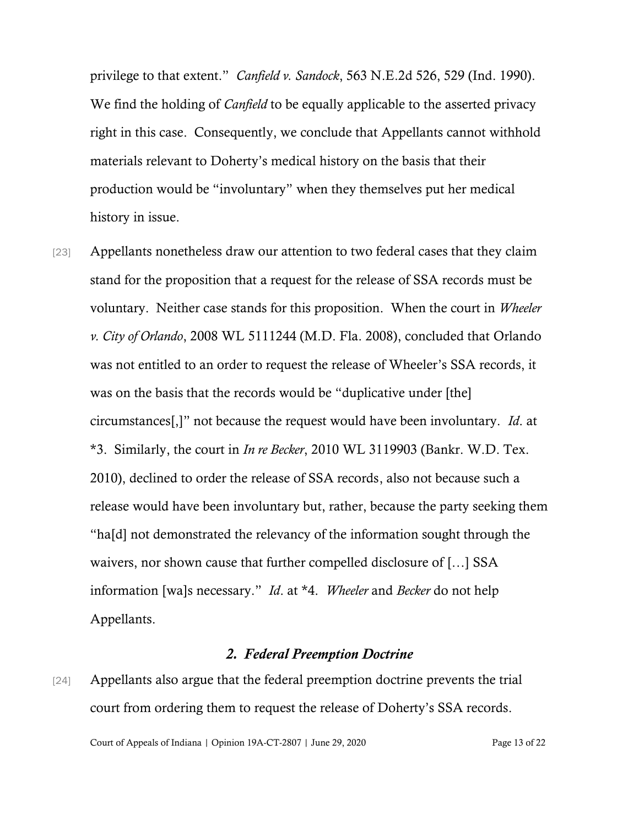privilege to that extent." *Canfield v. Sandock*, 563 N.E.2d 526, 529 (Ind. 1990). We find the holding of *Canfield* to be equally applicable to the asserted privacy right in this case. Consequently, we conclude that Appellants cannot withhold materials relevant to Doherty's medical history on the basis that their production would be "involuntary" when they themselves put her medical history in issue.

[23] Appellants nonetheless draw our attention to two federal cases that they claim stand for the proposition that a request for the release of SSA records must be voluntary. Neither case stands for this proposition. When the court in *Wheeler v. City of Orlando*, 2008 WL 5111244 (M.D. Fla. 2008), concluded that Orlando was not entitled to an order to request the release of Wheeler's SSA records, it was on the basis that the records would be "duplicative under [the] circumstances[,]" not because the request would have been involuntary. *Id*. at \*3. Similarly, the court in *In re Becker*, 2010 WL 3119903 (Bankr. W.D. Tex. 2010), declined to order the release of SSA records, also not because such a release would have been involuntary but, rather, because the party seeking them "ha[d] not demonstrated the relevancy of the information sought through the waivers, nor shown cause that further compelled disclosure of […] SSA information [wa]s necessary." *Id*. at \*4. *Wheeler* and *Becker* do not help Appellants.

#### *2. Federal Preemption Doctrine*

[24] Appellants also argue that the federal preemption doctrine prevents the trial court from ordering them to request the release of Doherty's SSA records.

Court of Appeals of Indiana | Opinion 19A-CT-2807 | June 29, 2020 Page 13 of 22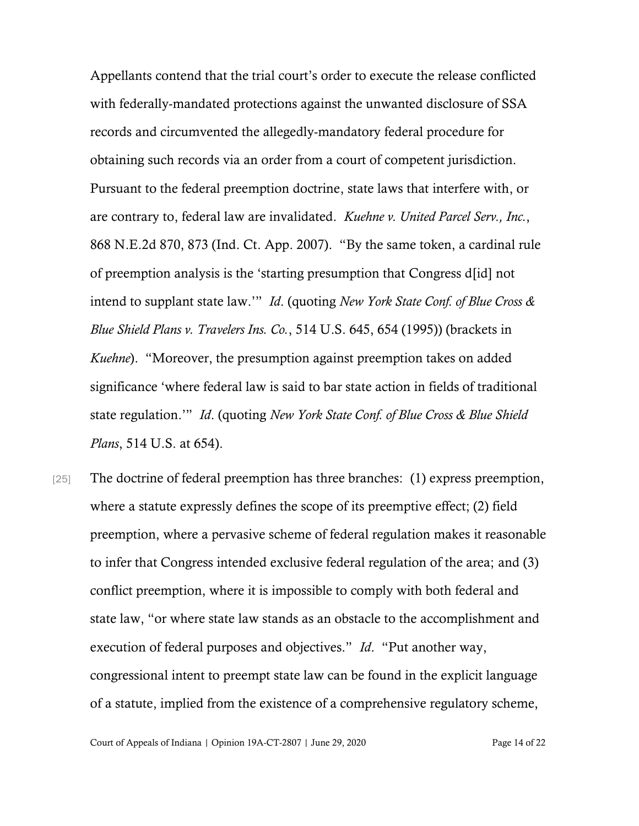Appellants contend that the trial court's order to execute the release conflicted with federally-mandated protections against the unwanted disclosure of SSA records and circumvented the allegedly-mandatory federal procedure for obtaining such records via an order from a court of competent jurisdiction. Pursuant to the federal preemption doctrine, state laws that interfere with, or are contrary to, federal law are invalidated. *Kuehne v. United Parcel Serv., Inc.*, 868 N.E.2d 870, 873 (Ind. Ct. App. 2007). "By the same token, a cardinal rule of preemption analysis is the 'starting presumption that Congress d[id] not intend to supplant state law.'" *Id*. (quoting *New York State Conf. of Blue Cross & Blue Shield Plans v. Travelers Ins. Co.*, 514 U.S. 645, 654 (1995)) (brackets in *Kuehne*). "Moreover, the presumption against preemption takes on added significance 'where federal law is said to bar state action in fields of traditional state regulation.'" *Id*. (quoting *New York State Conf. of Blue Cross & Blue Shield Plans*, 514 U.S. at 654).

[25] The doctrine of federal preemption has three branches: (1) express preemption, where a statute expressly defines the scope of its preemptive effect; (2) field preemption, where a pervasive scheme of federal regulation makes it reasonable to infer that Congress intended exclusive federal regulation of the area; and (3) conflict preemption, where it is impossible to comply with both federal and state law, "or where state law stands as an obstacle to the accomplishment and execution of federal purposes and objectives." *Id*. "Put another way, congressional intent to preempt state law can be found in the explicit language of a statute, implied from the existence of a comprehensive regulatory scheme,

Court of Appeals of Indiana | Opinion 19A-CT-2807 | June 29, 2020 Page 14 of 22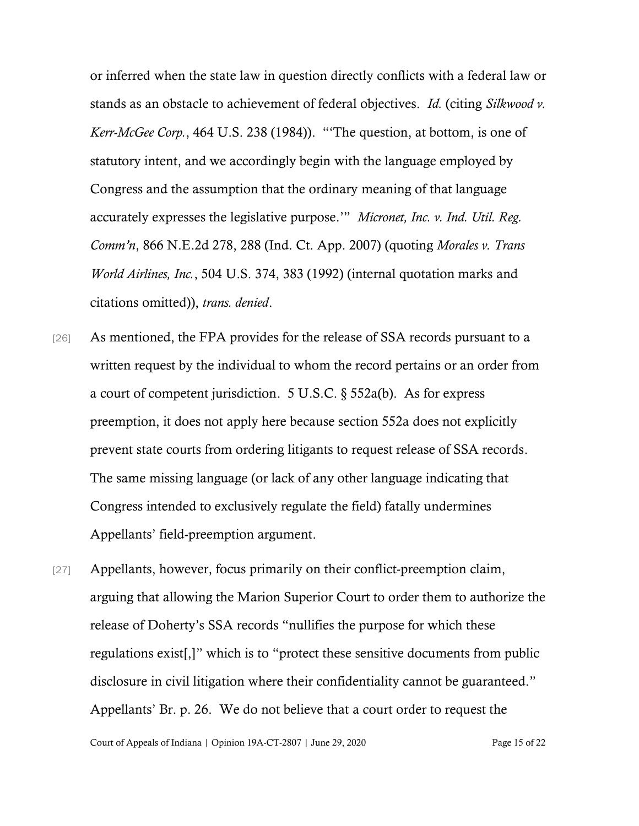or inferred when the state law in question directly conflicts with a federal law or stands as an obstacle to achievement of federal objectives. *Id.* (citing *Silkwood v. Kerr-McGee Corp.*, 464 U.S. 238 (1984)). "'The question, at bottom, is one of statutory intent, and we accordingly begin with the language employed by Congress and the assumption that the ordinary meaning of that language accurately expresses the legislative purpose.'" *Micronet, Inc. v. Ind. Util. Reg. Comm'n*, 866 N.E.2d 278, 288 (Ind. Ct. App. 2007) (quoting *Morales v. Trans World Airlines, Inc.*, 504 U.S. 374, 383 (1992) (internal quotation marks and citations omitted)), *trans. denied*.

- [26] As mentioned, the FPA provides for the release of SSA records pursuant to a written request by the individual to whom the record pertains or an order from a court of competent jurisdiction. 5 U.S.C. § 552a(b). As for express preemption, it does not apply here because section 552a does not explicitly prevent state courts from ordering litigants to request release of SSA records. The same missing language (or lack of any other language indicating that Congress intended to exclusively regulate the field) fatally undermines Appellants' field-preemption argument.
- [27] Appellants, however, focus primarily on their conflict-preemption claim, arguing that allowing the Marion Superior Court to order them to authorize the release of Doherty's SSA records "nullifies the purpose for which these regulations exist[,]" which is to "protect these sensitive documents from public disclosure in civil litigation where their confidentiality cannot be guaranteed." Appellants' Br. p. 26. We do not believe that a court order to request the

Court of Appeals of Indiana | Opinion 19A-CT-2807 | June 29, 2020 Page 15 of 22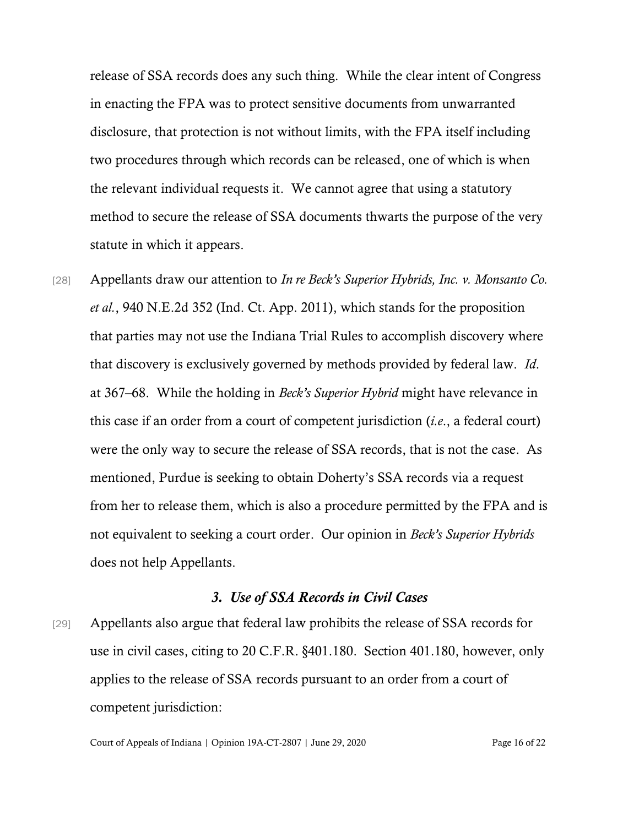release of SSA records does any such thing. While the clear intent of Congress in enacting the FPA was to protect sensitive documents from unwarranted disclosure, that protection is not without limits, with the FPA itself including two procedures through which records can be released, one of which is when the relevant individual requests it. We cannot agree that using a statutory method to secure the release of SSA documents thwarts the purpose of the very statute in which it appears.

[28] Appellants draw our attention to *In re Beck's Superior Hybrids, Inc. v. Monsanto Co. et al.*, 940 N.E.2d 352 (Ind. Ct. App. 2011), which stands for the proposition that parties may not use the Indiana Trial Rules to accomplish discovery where that discovery is exclusively governed by methods provided by federal law. *Id*. at 367–68. While the holding in *Beck's Superior Hybrid* might have relevance in this case if an order from a court of competent jurisdiction (*i.e*., a federal court) were the only way to secure the release of SSA records, that is not the case. As mentioned, Purdue is seeking to obtain Doherty's SSA records via a request from her to release them, which is also a procedure permitted by the FPA and is not equivalent to seeking a court order. Our opinion in *Beck's Superior Hybrids* does not help Appellants.

#### *3. Use of SSA Records in Civil Cases*

[29] Appellants also argue that federal law prohibits the release of SSA records for use in civil cases, citing to 20 C.F.R. §401.180. Section 401.180, however, only applies to the release of SSA records pursuant to an order from a court of competent jurisdiction: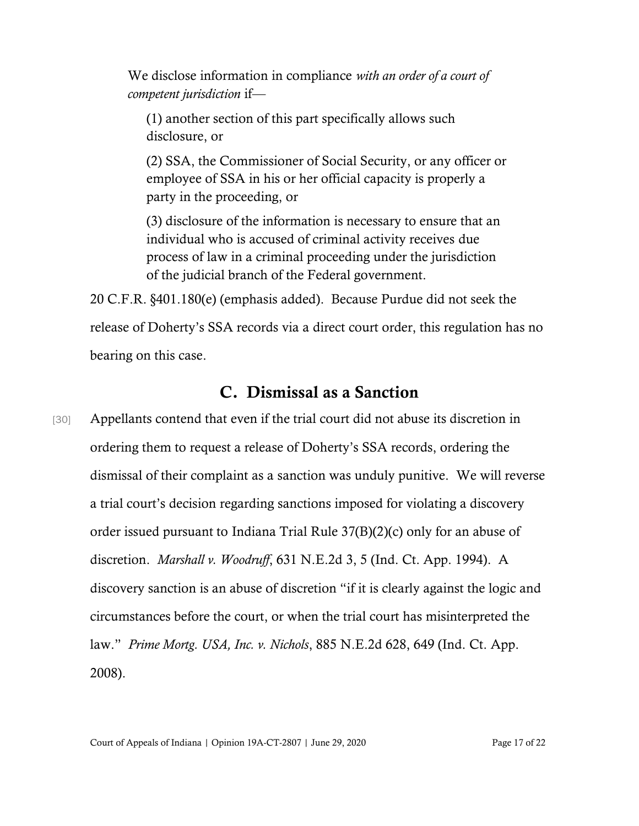We disclose information in compliance *with an order of a court of competent jurisdiction* if—

(1) another section of this part specifically allows such disclosure, or

(2) SSA, the Commissioner of Social Security, or any officer or employee of SSA in his or her official capacity is properly a party in the proceeding, or

(3) disclosure of the information is necessary to ensure that an individual who is accused of criminal activity receives due process of law in a criminal proceeding under the jurisdiction of the judicial branch of the Federal government.

20 C.F.R. §401.180(e) (emphasis added). Because Purdue did not seek the release of Doherty's SSA records via a direct court order, this regulation has no bearing on this case.

### C. Dismissal as a Sanction

[30] Appellants contend that even if the trial court did not abuse its discretion in ordering them to request a release of Doherty's SSA records, ordering the dismissal of their complaint as a sanction was unduly punitive. We will reverse a trial court's decision regarding sanctions imposed for violating a discovery order issued pursuant to Indiana Trial Rule 37(B)(2)(c) only for an abuse of discretion. *Marshall v. Woodruff*, 631 N.E.2d 3, 5 (Ind. Ct. App. 1994). A discovery sanction is an abuse of discretion "if it is clearly against the logic and circumstances before the court, or when the trial court has misinterpreted the law." *Prime Mortg. USA, Inc. v. Nichols*, 885 N.E.2d 628, 649 (Ind. Ct. App. 2008).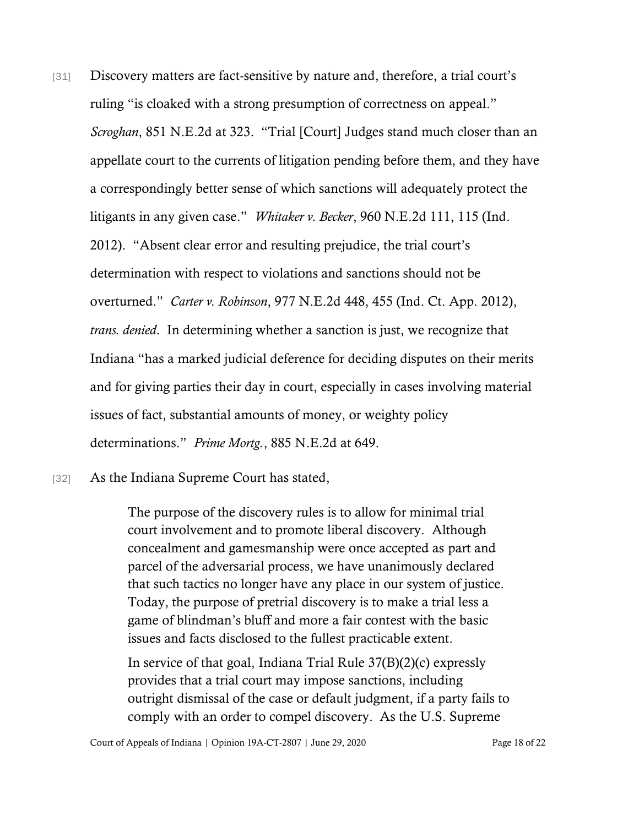[31] Discovery matters are fact-sensitive by nature and, therefore, a trial court's ruling "is cloaked with a strong presumption of correctness on appeal." *Scroghan*, 851 N.E.2d at 323. "Trial [Court] Judges stand much closer than an appellate court to the currents of litigation pending before them, and they have a correspondingly better sense of which sanctions will adequately protect the litigants in any given case." *Whitaker v. Becker*, 960 N.E.2d 111, 115 (Ind. 2012). "Absent clear error and resulting prejudice, the trial court's determination with respect to violations and sanctions should not be overturned." *Carter v. Robinson*, 977 N.E.2d 448, 455 (Ind. Ct. App. 2012), *trans. denied*. In determining whether a sanction is just, we recognize that Indiana "has a marked judicial deference for deciding disputes on their merits and for giving parties their day in court, especially in cases involving material issues of fact, substantial amounts of money, or weighty policy determinations." *Prime Mortg.*, 885 N.E.2d at 649.

[32] As the Indiana Supreme Court has stated,

The purpose of the discovery rules is to allow for minimal trial court involvement and to promote liberal discovery. Although concealment and gamesmanship were once accepted as part and parcel of the adversarial process, we have unanimously declared that such tactics no longer have any place in our system of justice. Today, the purpose of pretrial discovery is to make a trial less a game of blindman's bluff and more a fair contest with the basic issues and facts disclosed to the fullest practicable extent.

In service of that goal, Indiana Trial Rule 37(B)(2)(c) expressly provides that a trial court may impose sanctions, including outright dismissal of the case or default judgment, if a party fails to comply with an order to compel discovery. As the U.S. Supreme

Court of Appeals of Indiana | Opinion 19A-CT-2807 | June 29, 2020 Page 18 of 22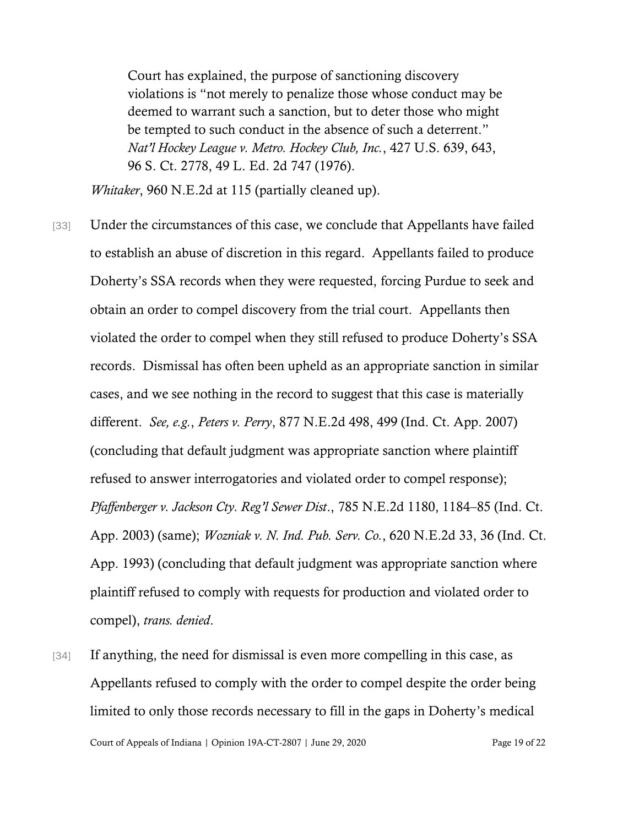Court has explained, the purpose of sanctioning discovery violations is "not merely to penalize those whose conduct may be deemed to warrant such a sanction, but to deter those who might be tempted to such conduct in the absence of such a deterrent." *Nat'l Hockey League v. Metro. Hockey Club, Inc.*, 427 U.S. 639, 643, 96 S. Ct. 2778, 49 L. Ed. 2d 747 (1976).

*Whitaker*, 960 N.E.2d at 115 (partially cleaned up).

- [33] Under the circumstances of this case, we conclude that Appellants have failed to establish an abuse of discretion in this regard. Appellants failed to produce Doherty's SSA records when they were requested, forcing Purdue to seek and obtain an order to compel discovery from the trial court. Appellants then violated the order to compel when they still refused to produce Doherty's SSA records. Dismissal has often been upheld as an appropriate sanction in similar cases, and we see nothing in the record to suggest that this case is materially different. *See, e.g.*, *Peters v. Perry*, 877 N.E.2d 498, 499 (Ind. Ct. App. 2007) (concluding that default judgment was appropriate sanction where plaintiff refused to answer interrogatories and violated order to compel response); *Pfaffenberger v. Jackson Cty. Reg'l Sewer Dist*., 785 N.E.2d 1180, 1184–85 (Ind. Ct. App. 2003) (same); *Wozniak v. N. Ind. Pub. Serv. Co.*, 620 N.E.2d 33, 36 (Ind. Ct. App. 1993) (concluding that default judgment was appropriate sanction where plaintiff refused to comply with requests for production and violated order to compel), *trans. denied*.
- Court of Appeals of Indiana | Opinion 19A-CT-2807 | June 29, 2020 Page 19 of 22 [34] If anything, the need for dismissal is even more compelling in this case, as Appellants refused to comply with the order to compel despite the order being limited to only those records necessary to fill in the gaps in Doherty's medical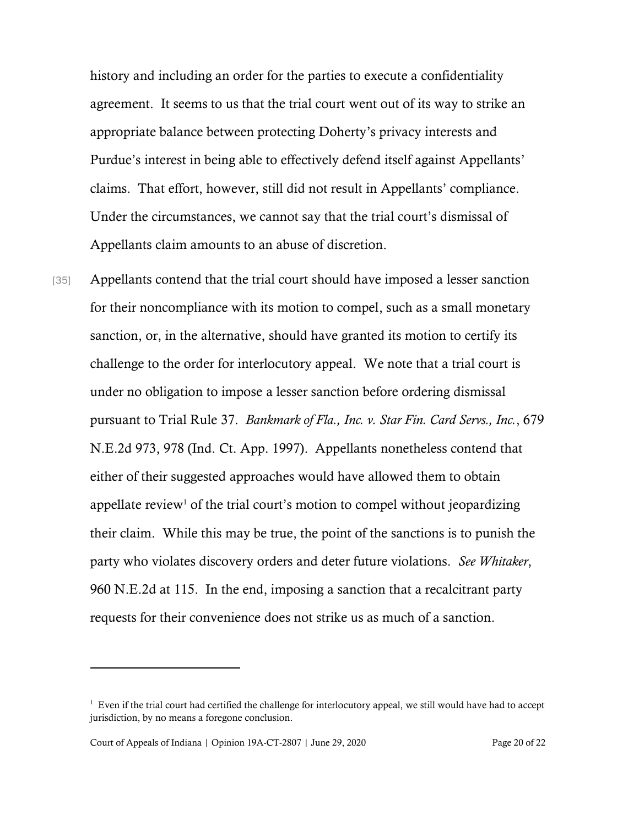history and including an order for the parties to execute a confidentiality agreement. It seems to us that the trial court went out of its way to strike an appropriate balance between protecting Doherty's privacy interests and Purdue's interest in being able to effectively defend itself against Appellants' claims. That effort, however, still did not result in Appellants' compliance. Under the circumstances, we cannot say that the trial court's dismissal of Appellants claim amounts to an abuse of discretion.

[35] Appellants contend that the trial court should have imposed a lesser sanction for their noncompliance with its motion to compel, such as a small monetary sanction, or, in the alternative, should have granted its motion to certify its challenge to the order for interlocutory appeal. We note that a trial court is under no obligation to impose a lesser sanction before ordering dismissal pursuant to Trial Rule 37. *Bankmark of Fla., Inc. v. Star Fin. Card Servs., Inc.*, 679 N.E.2d 973, 978 (Ind. Ct. App. 1997). Appellants nonetheless contend that either of their suggested approaches would have allowed them to obtain appellate review<sup>1</sup> of the trial court's motion to compel without jeopardizing their claim. While this may be true, the point of the sanctions is to punish the party who violates discovery orders and deter future violations. *See Whitaker*, 960 N.E.2d at 115. In the end, imposing a sanction that a recalcitrant party requests for their convenience does not strike us as much of a sanction.

<sup>&</sup>lt;sup>1</sup> Even if the trial court had certified the challenge for interlocutory appeal, we still would have had to accept jurisdiction, by no means a foregone conclusion.

Court of Appeals of Indiana | Opinion 19A-CT-2807 | June 29, 2020 Page 20 of 22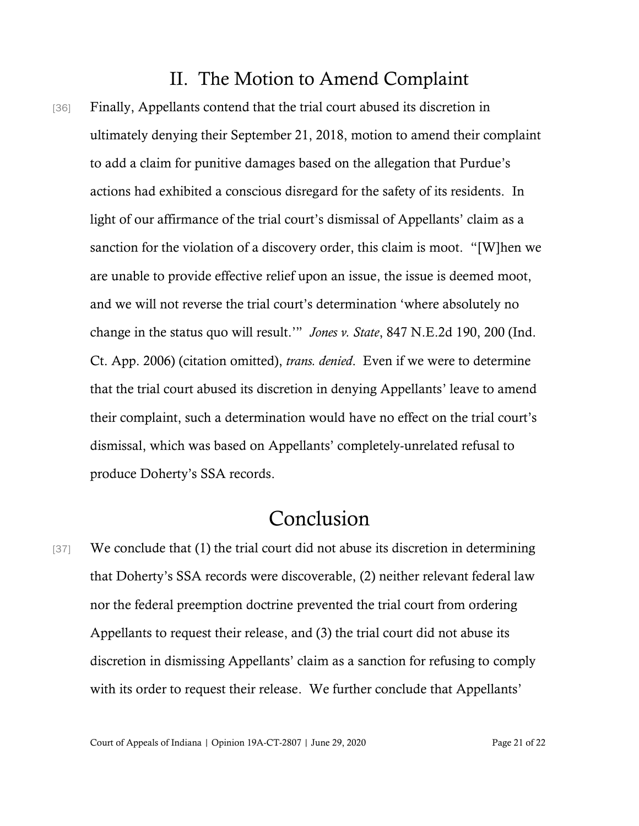### II. The Motion to Amend Complaint

[36] Finally, Appellants contend that the trial court abused its discretion in ultimately denying their September 21, 2018, motion to amend their complaint to add a claim for punitive damages based on the allegation that Purdue's actions had exhibited a conscious disregard for the safety of its residents. In light of our affirmance of the trial court's dismissal of Appellants' claim as a sanction for the violation of a discovery order, this claim is moot. "[W]hen we are unable to provide effective relief upon an issue, the issue is deemed moot, and we will not reverse the trial court's determination 'where absolutely no change in the status quo will result.'" *Jones v. State*, 847 N.E.2d 190, 200 (Ind. Ct. App. 2006) (citation omitted), *trans. denied*. Even if we were to determine that the trial court abused its discretion in denying Appellants' leave to amend their complaint, such a determination would have no effect on the trial court's dismissal, which was based on Appellants' completely-unrelated refusal to produce Doherty's SSA records.

## Conclusion

[37] We conclude that (1) the trial court did not abuse its discretion in determining that Doherty's SSA records were discoverable, (2) neither relevant federal law nor the federal preemption doctrine prevented the trial court from ordering Appellants to request their release, and (3) the trial court did not abuse its discretion in dismissing Appellants' claim as a sanction for refusing to comply with its order to request their release. We further conclude that Appellants'